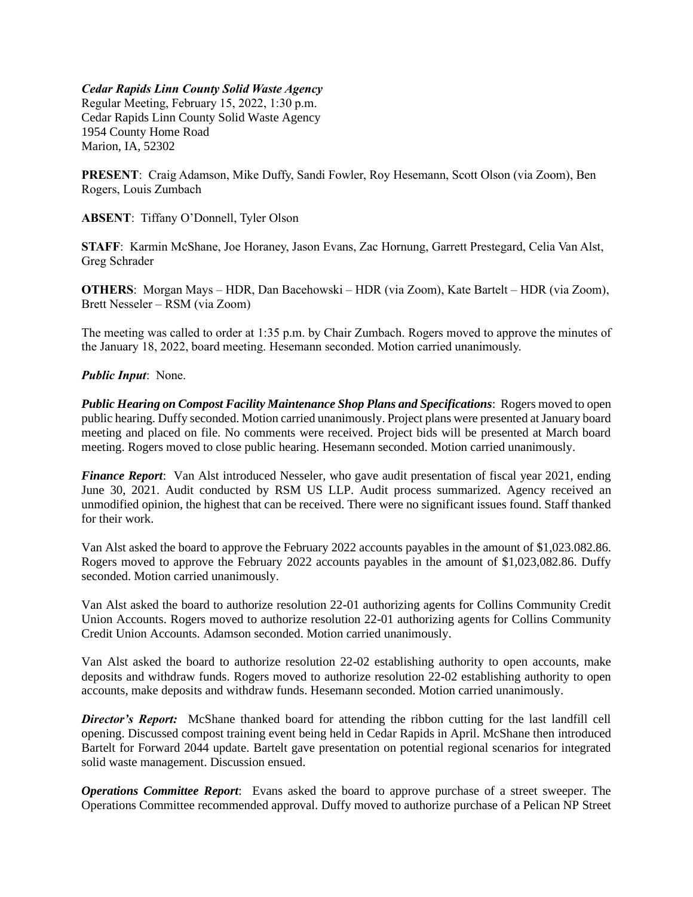## *Cedar Rapids Linn County Solid Waste Agency*

Regular Meeting, February 15, 2022, 1:30 p.m. Cedar Rapids Linn County Solid Waste Agency 1954 County Home Road Marion, IA, 52302

**PRESENT**: Craig Adamson, Mike Duffy, Sandi Fowler, Roy Hesemann, Scott Olson (via Zoom), Ben Rogers, Louis Zumbach

**ABSENT**: Tiffany O'Donnell, Tyler Olson

**STAFF**: Karmin McShane, Joe Horaney, Jason Evans, Zac Hornung, Garrett Prestegard, Celia Van Alst, Greg Schrader

**OTHERS**: Morgan Mays – HDR, Dan Bacehowski – HDR (via Zoom), Kate Bartelt – HDR (via Zoom), Brett Nesseler – RSM (via Zoom)

The meeting was called to order at 1:35 p.m. by Chair Zumbach. Rogers moved to approve the minutes of the January 18, 2022, board meeting. Hesemann seconded. Motion carried unanimously.

## *Public Input*: None.

*Public Hearing on Compost Facility Maintenance Shop Plans and Specifications*: Rogers moved to open public hearing. Duffy seconded. Motion carried unanimously. Project plans were presented at January board meeting and placed on file. No comments were received. Project bids will be presented at March board meeting. Rogers moved to close public hearing. Hesemann seconded. Motion carried unanimously.

*Finance Report*: Van Alst introduced Nesseler, who gave audit presentation of fiscal year 2021, ending June 30, 2021. Audit conducted by RSM US LLP. Audit process summarized. Agency received an unmodified opinion, the highest that can be received. There were no significant issues found. Staff thanked for their work.

Van Alst asked the board to approve the February 2022 accounts payables in the amount of \$1,023.082.86. Rogers moved to approve the February 2022 accounts payables in the amount of \$1,023,082.86. Duffy seconded. Motion carried unanimously.

Van Alst asked the board to authorize resolution 22-01 authorizing agents for Collins Community Credit Union Accounts. Rogers moved to authorize resolution 22-01 authorizing agents for Collins Community Credit Union Accounts. Adamson seconded. Motion carried unanimously.

Van Alst asked the board to authorize resolution 22-02 establishing authority to open accounts, make deposits and withdraw funds. Rogers moved to authorize resolution 22-02 establishing authority to open accounts, make deposits and withdraw funds. Hesemann seconded. Motion carried unanimously.

*Director's Report:* McShane thanked board for attending the ribbon cutting for the last landfill cell opening. Discussed compost training event being held in Cedar Rapids in April. McShane then introduced Bartelt for Forward 2044 update. Bartelt gave presentation on potential regional scenarios for integrated solid waste management. Discussion ensued.

*Operations Committee Report*: Evans asked the board to approve purchase of a street sweeper. The Operations Committee recommended approval. Duffy moved to authorize purchase of a Pelican NP Street